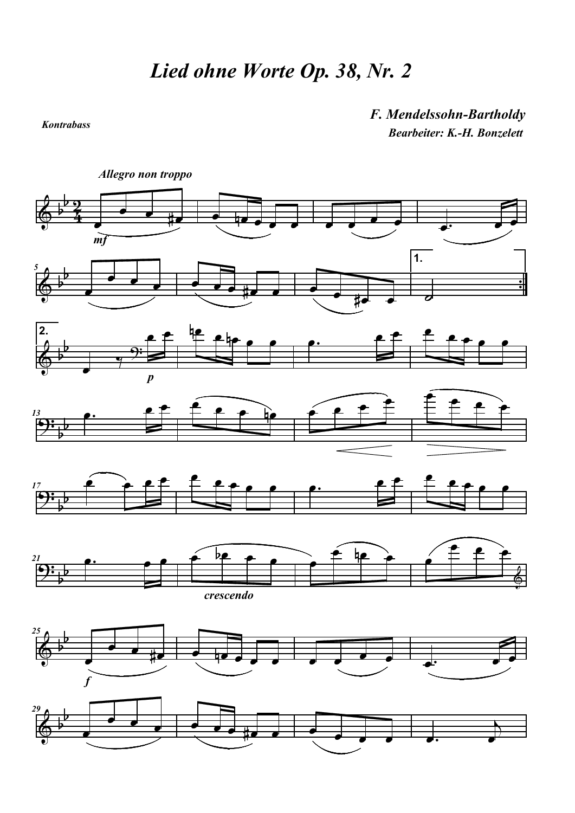Kontrabass

## F. Mendelssohn-Bartholdy Bearbeiter: K.-H. Bonzelett